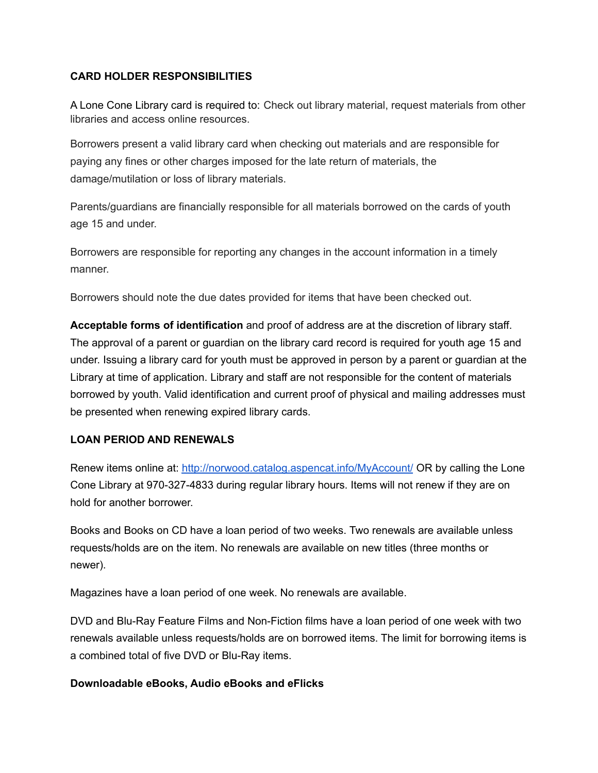### **CARD HOLDER RESPONSIBILITIES**

A Lone Cone Library card is required to: Check out library material, request materials from other libraries and access online resources.

Borrowers present a valid library card when checking out materials and are responsible for paying any fines or other charges imposed for the late return of materials, the damage/mutilation or loss of library materials.

Parents/guardians are financially responsible for all materials borrowed on the cards of youth age 15 and under.

Borrowers are responsible for reporting any changes in the account information in a timely manner.

Borrowers should note the due dates provided for items that have been checked out.

**Acceptable forms of identification** and proof of address are at the discretion of library staff. The approval of a parent or guardian on the library card record is required for youth age 15 and under. Issuing a library card for youth must be approved in person by a parent or guardian at the Library at time of application. Library and staff are not responsible for the content of materials borrowed by youth. Valid identification and current proof of physical and mailing addresses must be presented when renewing expired library cards.

## **LOAN PERIOD AND RENEWALS**

Renew items online at: <http://norwood.catalog.aspencat.info/MyAccount/> OR by calling the Lone Cone Library at 970-327-4833 during regular library hours. Items will not renew if they are on hold for another borrower.

Books and Books on CD have a loan period of two weeks. Two renewals are available unless requests/holds are on the item. No renewals are available on new titles (three months or newer).

Magazines have a loan period of one week. No renewals are available.

DVD and Blu-Ray Feature Films and Non-Fiction films have a loan period of one week with two renewals available unless requests/holds are on borrowed items. The limit for borrowing items is a combined total of five DVD or Blu-Ray items.

#### **Downloadable eBooks, Audio eBooks and eFlicks**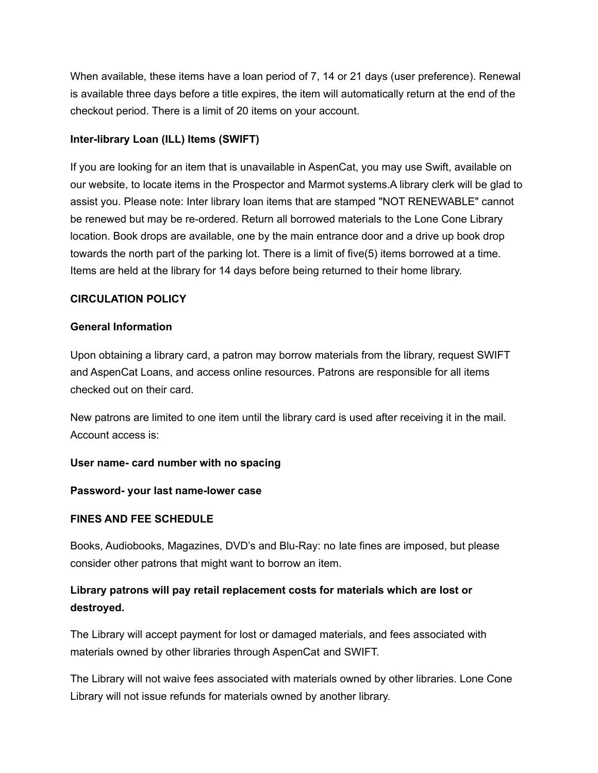When available, these items have a loan period of 7, 14 or 21 days (user preference). Renewal is available three days before a title expires, the item will automatically return at the end of the checkout period. There is a limit of 20 items on your account.

## **Inter-library Loan (ILL) Items (SWIFT)**

If you are looking for an item that is unavailable in AspenCat, you may use Swift, available on our website, to locate items in the Prospector and Marmot systems.A library clerk will be glad to assist you. Please note: Inter library loan items that are stamped "NOT RENEWABLE" cannot be renewed but may be re-ordered. Return all borrowed materials to the Lone Cone Library location. Book drops are available, one by the main entrance door and a drive up book drop towards the north part of the parking lot. There is a limit of five(5) items borrowed at a time. Items are held at the library for 14 days before being returned to their home library.

#### **CIRCULATION POLICY**

#### **General Information**

Upon obtaining a library card, a patron may borrow materials from the library, request SWIFT and AspenCat Loans, and access online resources. Patrons are responsible for all items checked out on their card.

New patrons are limited to one item until the library card is used after receiving it in the mail. Account access is:

#### **User name- card number with no spacing**

#### **Password- your last name-lower case**

## **FINES AND FEE SCHEDULE**

Books, Audiobooks, Magazines, DVD's and Blu-Ray: no late fines are imposed, but please consider other patrons that might want to borrow an item.

# **Library patrons will pay retail replacement costs for materials which are lost or destroyed.**

The Library will accept payment for lost or damaged materials, and fees associated with materials owned by other libraries through AspenCat and SWIFT.

The Library will not waive fees associated with materials owned by other libraries. Lone Cone Library will not issue refunds for materials owned by another library.